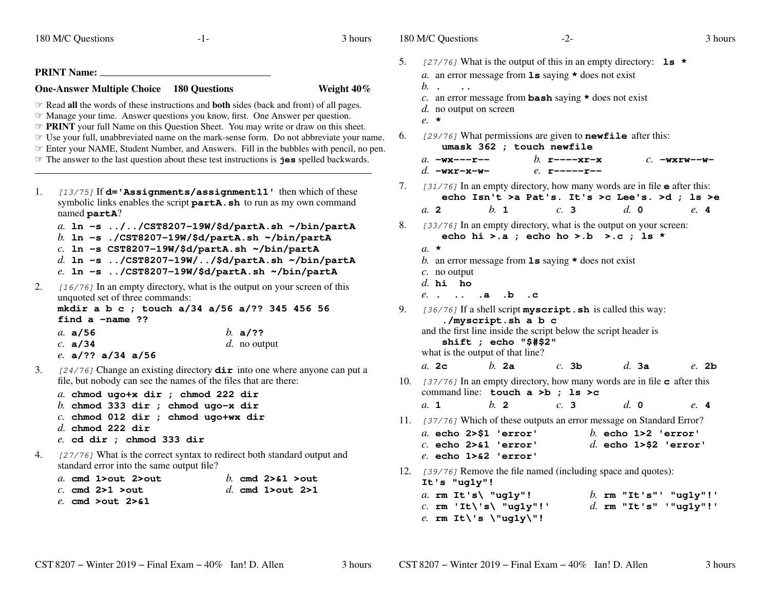180 M/C Questions $\sim$  3 3 hours **PRINT Name:One-Answer Multiple Choice 180 Questions Weight 40%** ☞ Read **all** the words of these instructions and **both** sides (back and front) of all pages. ☞ Manage your time. Answer questions you know, first. One Answer per question. *The PRINT* your full Name on this Question Sheet. You may write or draw on this sheet. The your full unabbreviated name on the mark-sense form. Do not abbreviate your n ☞ Use your full, unabbreviated name on the mark-sense form. Do not abbreviate your name. ☞ Enter your NAME, Student Number, and Answers. Fill in the bubbles with pencil, no pen. ☞ The answer to the last question about these test instructions is **jes** spelled backwards. 1. [13/75] If **d='Assignments/assignment11'** then which of these symbolic links enables the script **partA.sh** to run as my own command named **partA**? *a.* **ln -s ../../CST8207-19W/\$d/partA.sh ~/bin/partA***b.* **ln -s ./CST8207-19W/\$d/partA.sh ~/bin/partA***c.* **ln -s CST8207-19W/\$d/partA.sh ~/bin/partA** *d.* **ln -s ../CST8207-19W/../\$d/partA.sh ~/bin/partA***e.* **ln -s ../CST8207-19W/\$d/partA.sh ~/bin/partA**. [16/76] In an empty directory, what is the output on your screen of this 2.unquoted set of three commands: **mkdir a b c ; touch a/34 a/56 a/?? 345 456 56find a -name ??***a.* **a/56** *b.* **a/??** *c.* **a/34** *d.* no output *e.* **a/?? a/34 a/56**3. [24/76] Change an existing directory **dir** into one where anyone can put a file, but nobody can see the names of the files that are there:*a.* **chmod ugo+x dir ; chmod 222 dir** *b.* **chmod 333 dir ; chmod ugo-x dir** *c.* **chmod 012 dir ; chmod ugo+wx dir***d.* **chmod 222 dir** *e.* **cd dir ; chmod 333 dir**4. [27/76] What is the correct syntax to redirect both standard output and standard error into the same output file?*a.* **cmd 1>out 2>out** *b.* **cmd 2>&1 >out** *c.* **cmd 2>1 >out** *d.* **cmd 1>out 2>1** *e.* **cmd >out 2>&1**180 M/C Questions $-2$ - 3 5. [27/76] What is the output of this in an empty directory: **ls \****a.* an error message from **ls** saying **\*** does not exist *b.* $\overline{\mathbf{c}}$ . an error message from **bash** saying **\*** does not exist  $\mathbf{d}$ , no output on conson *d.* no output on screen*e.* **\***6.. [29/76] What permissions are given to **newfile** after this: **umask 362 ; touch newfile** *b.* **r----xr-x** *c.* **-wxrw--w***a.* **-wx---r-***d.* **-wxr-x-w** *e.* **r-----r--** 7. [31/76] In an empty directory, how many words are in file **<sup>e</sup>** after this: **echo Isn't >a Pat's. It's >c Lee's. >d ; ls >e***a.* **<sup>2</sup>** *b.* **<sup>1</sup>** *c.* **<sup>3</sup>** *d.* **<sup>0</sup>** *e.* **<sup>4</sup>** 8. [33/76] In an empty directory, what is the output on your screen: **echo hi >.a ; echo ho >.b >.c ; ls \*** *a.* **\*** *b.* an error message from **ls** saying **\*** does not exist *c.* no output *d.* **hi ho** *e.* **. .. .a .b .c** 9. [36/76] If a shell script **myscript.sh** is called this way: **./myscript.sh a b c** and the first line inside the script below the script header is**shift ; echo "\$#\$2"**what is the output of that line? *a.* **2c** *b.* **2a** *c.* **3b** *d.* **3a** *e.* **2b** 10. [37/76] In an empty directory, how many words are in file **<sup>c</sup>** after this command line: **touch a >b ; ls >c***a.* **<sup>1</sup>** *b.* **<sup>2</sup>** *c.* **<sup>3</sup>** *d.* **<sup>0</sup>** *e.* **<sup>4</sup>** 11. [37/76] Which of these outputs an error message on Standard Error? *a.* **echo 2>\$1 'error'** *b.* **echo 1>2 'error'** *c.* **echo 2>&1 'error'** *d.* **echo 1>\$2 'error'** *e.* **echo 1>&2 'error'**12. [39/76] Remove the file named (including space and quotes): **It's "ug1y"!** *a.* **rm It's\ "ug1y"!** *b.* **rm "It's"' "ug1y"!'** *c.* **rm 'It\'s\ "ug1y"!'** *d.* **rm "It's" '"ug1y"!'** *e.* **rm It\'s \"ug1y\"!**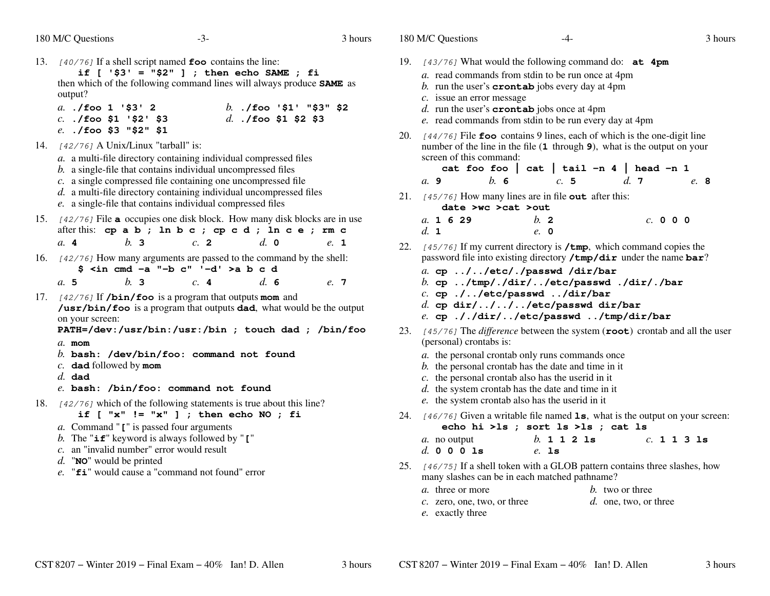$-4$ - $-4$ - $3$ 

3 hours

- 13. [40/76] If a shell script named **foo** contains the line: **if [ '\$3' = "\$2" ] ; then echo SAME ; fi** then which of the following command lines will always produce **SAME** as output? *a.* **./foo 1 '\$3' 2** *b.* **./foo '\$1' "\$3" \$2** *c.* **./foo \$1 '\$2' \$3** *d.* **./foo \$1 \$2 \$3** *e.* **./foo \$3 "\$2" \$1**14. [42/76] <sup>A</sup> Unix/Linux "tarball" is: *a.* <sup>a</sup> multi-file directory containing individual compressed files*b.* <sup>a</sup> single-file that contains individual uncompressed files *c.* <sup>a</sup> single compressed file containing one uncompressed file *d.* <sup>a</sup> multi-file directory containing individual uncompressed files*e.* <sup>a</sup> single-file that contains individual compressed files15. [42/76] File **<sup>a</sup>** occupies one disk block. How many disk blocks are in use after this: **cp a b ; ln b c ; cp c d ; ln c e ; rm c** $e_{\alpha}$  1 *a.* **<sup>4</sup>** *b.* **<sup>3</sup>** *c.* **<sup>2</sup>** *d.* **<sup>0</sup>** *e.* **<sup>1</sup>** 16. [42/76] How many arguments are passed to the command by the shell:  $$ *i*n cmd -a " -b c" ' -d' >a b c d$ <br>  $b 3$   $c 4$   $d 6$ *a.* **5** *b.* **<sup>3</sup>** *c.* **<sup>4</sup>** *d.* **<sup>6</sup>** *e.* **<sup>7</sup>** 17. [42/76] If **/bin/foo** is a program that outputs **mom** and **/usr/bin/foo** is a program that outputs **dad**, what would be the output on your screen: **PATH=/dev:/usr/bin:/usr:/bin ; touch dad ; /bin/foo***a.* **mom** *b.* **bash: /dev/bin/foo: command not found***c.* **dad** followed by **mom** *d.* **dad** *e.* **bash: /bin/foo: command not found**18. [42/76] which of the following statements is true about this line? **if [ "x" != "x" ] ; then echo NO ; fi***a.* Command "**[**" is passed four arguments *b.* The "**if**" keyword is always followed by "**[**"*c.* an "invalid number" error would result
	- *d.* "**NO**" would be printed
	- *e.* "**fi**" would cause a "command not found" error
- 19. [43/76] What would the following command do: **at 4pm**
	- *a.* read commands from stdin to be run once at 4pm
	- *b.* run the user's **crontab** jobs every day at 4pm
	- *c.* issue an error message
	- *d.* run the user's **crontab** jobs once at 4pm
	- *e.* read commands from stdin to be run every day at 4pm
- 20. [44/76] File **foo** contains 9 lines, each of which is the one-digit line number of the line in the file (**1** through **<sup>9</sup>**), what is the output on your screen of this command:

|      | cat foo foo   cat   tail -n 4   head -n 1 |     |      |      |  |
|------|-------------------------------------------|-----|------|------|--|
| a. 9 | b. 6                                      | c.5 | d. 7 | e. 8 |  |

21. [45/76] How many lines are in file **out** after this: **date >wc >cat >out**

| a. 1629 | b. 2 | $c.$ 0 0 0 |
|---------|------|------------|
| d. 1    | e. 0 |            |

- 22. [45/76] If my current directory is **/tmp**, which command copies the password file into existing directory **/tmp/dir** under the name **bar**?
	- *a.* **cp ../../etc/./passwd /dir/bar**
	- *b.* **cp ../tmp/./dir/../etc/passwd ./dir/./bar**
	- *c.* **cp ./../etc/passwd ../dir/bar**
	- *d.* **cp dir/../../../etc/passwd dir/bar**
	- *e.* **cp ././dir/../etc/passwd ../tmp/dir/bar**
- 23. [45/76] The *difference* between the system (**root**) crontab and all the user (personal) crontabs is:
	- *a.* the personal crontab only runs commands once
	- *b.* the personal crontab has the date and time in it
	- *c.* the personal crontab also has the userid in it
	- *d.* the system crontab has the date and time in it
	- *e.* the system crontab also has the userid in it
- 24. [46/76] Given a writable file named **ls**, what is the output on your screen: **echo hi >ls ; sort ls >ls ; cat ls**

| a. no output |          |  | b. 1 1 2 1s |  |  | c. 1 1 3 1s |
|--------------|----------|--|-------------|--|--|-------------|
| d. 0 0 0 1s  | $e$ . 1s |  |             |  |  |             |

25. [46/75] If a shell token with a GLOB pattern contains three slashes, howmany slashes can be in each matched pathname?

| a. three or more               | b. two or three       |
|--------------------------------|-----------------------|
| $c$ . zero, one, two, or three | d. one, two, or three |

*e.* exactly three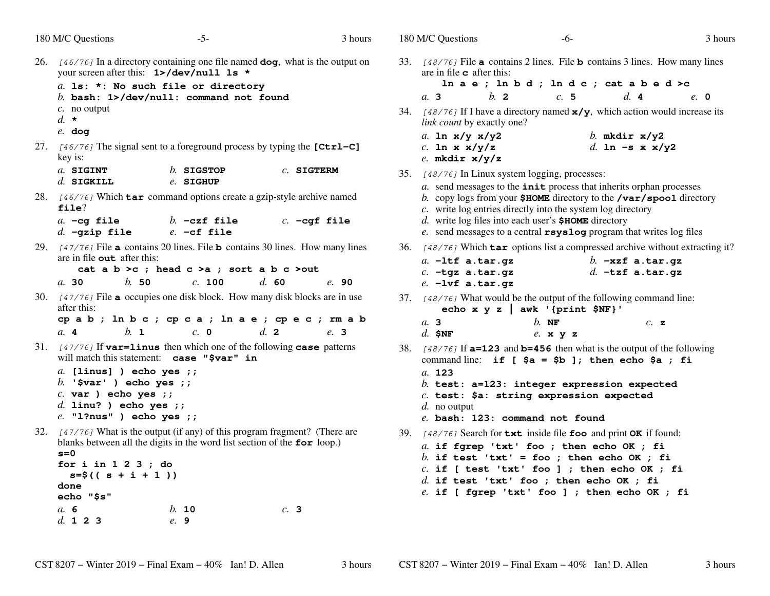| 180 M/C Questions                                                                                                                            | $-5-$                                                                                                                                                                                                                 | 3 hours        | 180 M/C Questions                                            |                                             | $-6-$                                                                                                                |                                                                                                                                                                                                                                                                    | 3 hours |
|----------------------------------------------------------------------------------------------------------------------------------------------|-----------------------------------------------------------------------------------------------------------------------------------------------------------------------------------------------------------------------|----------------|--------------------------------------------------------------|---------------------------------------------|----------------------------------------------------------------------------------------------------------------------|--------------------------------------------------------------------------------------------------------------------------------------------------------------------------------------------------------------------------------------------------------------------|---------|
| $c$ . no output<br>$d. \star$<br>$e.$ dog                                                                                                    | 26. $[46/76]$ In a directory containing one file named $dog$ , what is the output on<br>your screen after this: 1>/dev/null 1s *<br>a. 1s: *: No such file or directory<br>b. bash: $1$ >/dev/null: command not found |                | are in file $\sigma$ after this:<br>a.3<br>a. In $x/y x/y^2$ | $b$ . 2<br>link count by exactly one?       | c.5                                                                                                                  | 33. [48/76] File <b>a</b> contains 2 lines. File <b>b</b> contains 3 lines. How many lines<br>In a e; ln b d; ln d c; cat a b e d >c<br>d.4<br>34. [48/76] If I have a directory named $x/y$ , which action would increase its                                     | $e$ . 0 |
| key is:<br>a. SIGINT<br>$d.$ SIGKILL                                                                                                         | 27. $[46/76]$ The signal sent to a foreground process by typing the [Ctrl–C]<br>$b.$ SIGSTOP<br>e. SIGHUP                                                                                                             | $c.$ SIGTERM   | c. ln x $x/y/z$<br>e. mkdir $x/y/z$                          |                                             | 35. [48/76] In Linux system logging, processes:                                                                      | b. mkdir $x/y2$<br>d. In -s x $x/y2$                                                                                                                                                                                                                               |         |
| file?<br>$a. -cg$ file<br>$d.$ -gzip file                                                                                                    | 28. [46/76] Which tar command options create a gzip-style archive named<br>$b. -czf$ file<br>$e. -cf$ file                                                                                                            | $c. -cgf file$ |                                                              |                                             | c. write log entries directly into the system log directory<br>d. write log files into each user's $$HOME$ directory | a. send messages to the <i>init</i> process that inherits orphan processes<br>b. copy logs from your $$HOME$ directory to the /var/spool directory<br>e. send messages to a central $rsyslog$ program that writes $log$ files                                      |         |
| are in file <b>out</b> after this:<br>b.50<br>a.30                                                                                           | 29. $[47/76]$ File a contains 20 lines. File b contains 30 lines. How many lines<br>cat a $b > c$ ; head $c > a$ ; sort a $b c > out$<br>c. 100                                                                       | d.60<br>e.90   | $e. -1$ vf a.tar.gz                                          | $a.$ $-l$ tf a.tar.gz<br>$c. -tgz$ a.tar.gz |                                                                                                                      | 36. [48/76] Which <b>tar</b> options list a compressed archive without extracting it?<br>$b.$ -xzf a.tar.gz<br>$d.$ -tzf a.tar.gz                                                                                                                                  |         |
| after this:<br>b. 1<br>a. 4                                                                                                                  | 30. $[47/76]$ File <b>a</b> occupies one disk block. How many disk blocks are in use<br>cpab; ln b c ; cp c a ; ln a e ; cp e c ; rm a b<br>c. 0                                                                      | d. 2<br>e. 3   | a.3<br>$d.$ \$NF                                             |                                             | echo x $y z$   awk '{print \$NF}'<br>$h$ . NF<br>$e.$ x $y$ z                                                        | 37. [48/76] What would be the output of the following command line:<br>c. z                                                                                                                                                                                        |         |
| $a.$ [linus] ) echo yes ;;<br>$b.$ '\$var' ) echo yes ;;<br>$c. var$ ) echo yes ;;<br>$d.$ linu? ) echo yes ;;<br>$e.$ "1?nus" ) echo yes ;; | 31. $[47/76]$ If var=linus then which one of the following case patterns<br>will match this statement: case "\$var" in                                                                                                |                | a. 123<br>d. no output                                       |                                             | $c.$ test: \$a: string expression expected<br>e. bash: 123: command not found                                        | 38. $[48/76]$ If $a=123$ and $b=456$ then what is the output of the following<br>command line: if [ $\$a = $b]$ ; then echo $\$a$ ; fi<br>b. test: $a=123$ : integer expression expected                                                                           |         |
| $s = 0$<br>for $i$ in $1$ $2$ $3$ ; do<br>$s = \frac{5}{5}((s + i + 1))$<br>done<br>echo "\$s"<br>a. 6                                       | 32. $[47/76]$ What is the output (if any) of this program fragment? (There are<br>blanks between all the digits in the word list section of the $for$ loop.)<br>b. 10                                                 | c. 3           |                                                              |                                             | $d.$ if test 'txt' foo ; then echo OK ; fi                                                                           | 39. [48/76] Search for txt inside file foo and print OK if found:<br>a. if fgrep 'txt' foo ; then echo OK ; fi<br>b. if test 'txt' = foo ; then echo OK ; fi<br>$c.$ if [ test 'txt' foo ] ; then echo OK ; fi<br>$e$ . if [ fgrep 'txt' foo ] ; then echo OK ; fi |         |
| d. 1 2 3                                                                                                                                     | e. 9                                                                                                                                                                                                                  |                |                                                              |                                             |                                                                                                                      |                                                                                                                                                                                                                                                                    |         |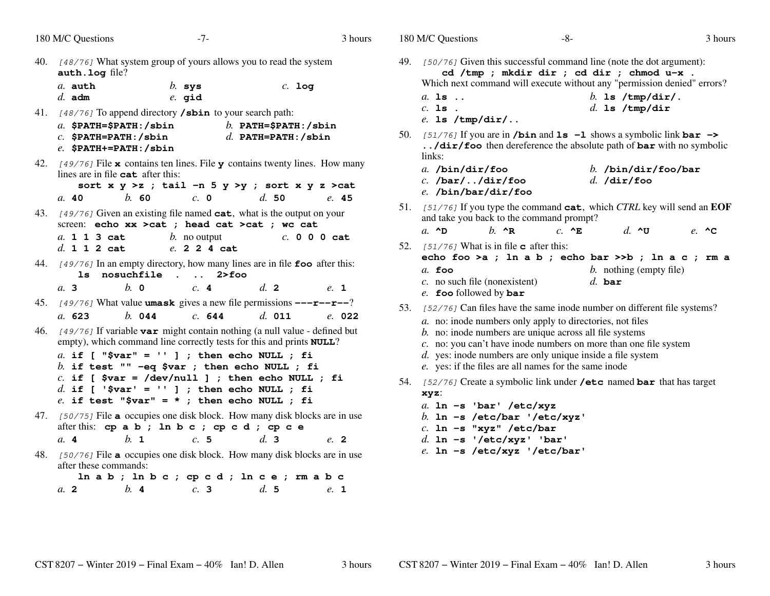|     | 180 M/C Questions<br>$-7-$                                                                                                                                                                                                                                                                                         | 3 hours                                          | 180 M/C Questions                                                                                                                                                                                                                                                                                                                     | $-8-$                                      | 3 hours                                                                                                                   |
|-----|--------------------------------------------------------------------------------------------------------------------------------------------------------------------------------------------------------------------------------------------------------------------------------------------------------------------|--------------------------------------------------|---------------------------------------------------------------------------------------------------------------------------------------------------------------------------------------------------------------------------------------------------------------------------------------------------------------------------------------|--------------------------------------------|---------------------------------------------------------------------------------------------------------------------------|
| 40. | [48/76] What system group of yours allows you to read the system<br>auth. log file?<br>a. auth<br>$b.$ sys<br>$d.$ adm<br>$e.$ gid                                                                                                                                                                                 | $c.$ log                                         | 49. [50/76] Given this successful command line (note the dot argument):<br>$a.$ is $\ldots$<br>$c.$ 1s.                                                                                                                                                                                                                               | cd /tmp ; mkdir dir ; cd dir ; chmod u-x . | Which next command will execute without any "permission denied" errors?<br>b. 1s $/\text{tmp/dir}/$ .<br>$d.$ 1s /tmp/dir |
|     | 41. [48/76] To append directory <b>/sbin</b> to your search path:<br>$a.$ \$PATH=\$PATH:/sbin<br>$c.$ \$PATH=PATH:/sbin<br>$e.$ \$PATH+=PATH:/sbin                                                                                                                                                                 | b. PATH= $$$ PATH: /sbin<br>$d.$ PATH=PATH:/sbin | $e.$ 1s /tmp/dir/<br>50. [51/76] If you are in <b>/bin</b> and <b>1s</b> $-1$ shows a symbolic link <b>bar</b> $-$<br>links:                                                                                                                                                                                                          |                                            | /dir/foo then dereference the absolute path of bar with no symbolic                                                       |
|     | 42. $[49/76]$ File <b>x</b> contains ten lines. File <b>y</b> contains twenty lines. How many<br>lines are in file $cat$ after this:<br>sort $x \ y \ >z$ ; tail -n 5 $y \ >y$ ; sort $x \ y \ z \ >cat$<br>$h$ 60<br>$c. \; 0$<br>a.40                                                                            | $d_{\rm s}$ 50<br>e.45                           | $a.$ /bin/dir/foo<br>$c.$ /bar//dir/foo<br>$e.$ /bin/bar/dir/foo                                                                                                                                                                                                                                                                      | d. /dir/foo                                | $b.$ /bin/dir/foo/bar                                                                                                     |
|     | 43. [49/76] Given an existing file named cat, what is the output on your<br>screen: echo xx > cat ; head cat > cat ; wc cat<br>a. 1 1 3 cat<br>$b$ . no output<br>d. 1 1 2 cat<br>e. 2 2 4 cat                                                                                                                     | c. 0 0 0 cat                                     | and take you back to the command prompt?<br>a. $\sim$ D<br>$h \wedge R$<br>52. $[51/76]$ What is in file <b>c</b> after this:                                                                                                                                                                                                         | $c. \triangle$ E                           | 51. [51/76] If you type the command cat, which CTRL key will send an EOF<br>$d. \sim$ $\sigma$<br>e. $\sim$ $\sim$        |
|     | 44. [49/76] In an empty directory, how many lines are in file foo after this:<br>ls nosuchfile. 2>foo<br>$h$ 0<br>c.4<br>a.3                                                                                                                                                                                       | d.2<br>e. 1                                      | $a$ . foo<br>$c$ . no such file (nonexistent)<br>e. foo followed by bar                                                                                                                                                                                                                                                               | $d.$ bar                                   | echo foo >a ; ln a b ; echo bar >>b ; ln a c ; rm a<br>$b.$ nothing (empty file)                                          |
| 46. | 45. $[49/76]$ What value <b>umask</b> gives a new file permissions $---r---r$<br>$b.$ 044<br>a. 623<br>c. 644<br>[49/76] If variable var might contain nothing (a null value - defined but<br>empty), which command line correctly tests for this and prints NULL?<br>a. if [ "\$var" = '' ] ; then echo NULL ; fi | $d.$ 011<br>e. 022                               | 53. [52/76] Can files have the same inode number on different file systems?<br>a. no: inode numbers only apply to directories, not files<br>b. no: inode numbers are unique across all file systems<br>c. no: you can't have inode numbers on more than one file system<br>d. yes: inode numbers are only unique inside a file system |                                            |                                                                                                                           |
|     | b. if test "" $-eq$ \$var ; then echo NULL ; fi<br>$c.$ if [ \$var = /dev/null ] ; then echo NULL ; fi<br>d. if [ '\$var' = '' ] ; then echo NULL ; fi<br>$e$ . if test "\$var" = * ; then echo NULL ; fi                                                                                                          |                                                  | e. yes: if the files are all names for the same inode<br>54. [52/76] Create a symbolic link under /etc named bar that has target<br>xyz:<br>a. $ln -s$ 'bar' /etc/xyz                                                                                                                                                                 |                                            |                                                                                                                           |
|     | 47. [50/75] File a occupies one disk block. How many disk blocks are in use<br>after this: cp a b ; ln b c ; cp c d ; cp c e<br>$h_{\mathbf{1}}$<br>c.5<br>$a \cdot 4$                                                                                                                                             | d.3<br>e. 2                                      | b. In -s /etc/bar '/etc/xyz'<br>$c.$ ln -s "xyz" /etc/bar<br>$d.$ ln -s '/etc/xyz' 'bar'<br>$e.$ ln -s /etc/xyz '/etc/bar'                                                                                                                                                                                                            |                                            |                                                                                                                           |
|     | 48. [50/76] File a occupies one disk block. How many disk blocks are in use<br>after these commands:<br>$\ln a b$ ; $\ln b c$ ; $\operatorname{cp} c d$ ; $\ln c e$ ; $\operatorname{rm} a b c$<br>b.4<br>c.3<br>$a$ 2                                                                                             | d.5<br>e. 1                                      |                                                                                                                                                                                                                                                                                                                                       |                                            |                                                                                                                           |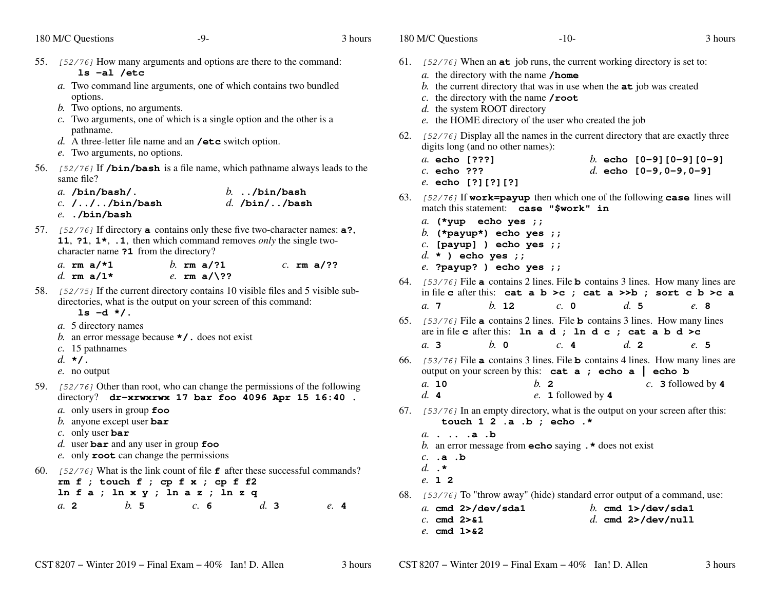|  |  | 180 M/C Questions |
|--|--|-------------------|
|--|--|-------------------|

s  $-10$ - $3$ 

|     | 180 M/C Questions<br>-9-                                                                                                                                                                                         |     |                                   | 3 hours |
|-----|------------------------------------------------------------------------------------------------------------------------------------------------------------------------------------------------------------------|-----|-----------------------------------|---------|
| 55. | [52/76] How many arguments and options are there to the command:<br>$ls -al /etc$                                                                                                                                |     |                                   |         |
|     | a. Two command line arguments, one of which contains two bundled<br>options.                                                                                                                                     |     |                                   |         |
|     | b. Two options, no arguments.<br>$c$ . Two arguments, one of which is a single option and the other is a                                                                                                         |     |                                   |         |
|     | pathname.<br>d. A three-letter file name and an $\prime$ etc switch option.                                                                                                                                      |     |                                   |         |
|     | e. Two arguments, no options.                                                                                                                                                                                    |     |                                   |         |
| 56. | [52/76] If /bin/bash is a file name, which pathname always leads to the<br>same file?                                                                                                                            |     |                                   |         |
|     | $a.$ /bin/bash/.<br>$c. / / .$ /bin/bash<br>$e.$ ./bin/bash                                                                                                                                                      |     | $b.$ /bin/bash<br>$d.$ /bin//bash |         |
|     | 57. [52/76] If directory <b>a</b> contains only these five two-character names: <b>a?</b> ,<br>11, ?1, $1*,$ .1, then which command removes <i>only</i> the single two-<br>character name ?1 from the directory? |     |                                   |         |
|     | b. $rm a/?1$<br>a. rm $a$ /*1<br>d. $rm a/1*$<br>e. $rm a/\$ ??                                                                                                                                                  |     | $c.$ rm a/??                      |         |
| 58. | [52/75] If the current directory contains 10 visible files and 5 visible sub-<br>directories, what is the output on your screen of this command:<br>$ls -d */$ .                                                 |     |                                   |         |
|     | a. 5 directory names<br>b. an error message because $\star$ / . does not exist<br>$c.$ 15 pathnames                                                                                                              |     |                                   |         |
|     | $d. \star$ .<br>e. no output                                                                                                                                                                                     |     |                                   |         |
| 59. | [52/76] Other than root, who can change the permissions of the following<br>directory? dr-xrwxrwx 17 bar foo 4096 Apr 15 16:40.                                                                                  |     |                                   |         |
|     | a. only users in group $\epsilon$ oo<br>b. anyone except user bar                                                                                                                                                |     |                                   |         |
|     | c. only user bar<br>d. user bar and any user in group foo                                                                                                                                                        |     |                                   |         |
|     | e. only root can change the permissions                                                                                                                                                                          |     |                                   |         |
| 60. | [52/76] What is the link count of file $\mathbf f$ after these successful commands?<br>rm $f$ ; touch $f$ ; cp $f$ $x$ ; cp $f$ $f$ 2<br>$ln f a$ ; $ln x y$ ; $ln a z$ ; $ln z q$                               |     |                                   |         |
|     | b. 5<br>a. 2<br>c. 6                                                                                                                                                                                             | d.3 |                                   | e.4     |

| 61. | [52/76] When an <b>at</b> job runs, the current working directory is set to:                                                                           |
|-----|--------------------------------------------------------------------------------------------------------------------------------------------------------|
|     | a. the directory with the name /home<br>b. the current directory that was in use when the $at$ job was created                                         |
|     | c. the directory with the name $\prime$ root                                                                                                           |
|     | d. the system ROOT directory                                                                                                                           |
|     | e. the HOME directory of the user who created the job                                                                                                  |
| 62. | [52/76] Display all the names in the current directory that are exactly three<br>digits long (and no other names):                                     |
|     | a. echo [???]<br>b. echo $[0-9][0-9][0-9]$                                                                                                             |
|     | $c.$ echo ???<br>d. echo $[0-9, 0-9, 0-9]$                                                                                                             |
|     | e. echo [?][?][?]                                                                                                                                      |
| 63. | [52/76] If work=payup then which one of the following case lines will<br>match this statement: case "\$work" in                                        |
|     | a. (*yup echo yes ; ;                                                                                                                                  |
|     | b. (*payup*) echo yes ;;                                                                                                                               |
|     | $c.$ [payup] ) echo yes ;;<br>$d. *$ ) echo yes ;;                                                                                                     |
|     | $e.$ ?payup? ) echo yes ;;                                                                                                                             |
| 64. | [53/76] File <b>a</b> contains 2 lines. File <b>b</b> contains 3 lines. How many lines are                                                             |
|     | in file c after this: cat a b >c ; cat a >>b ; sort c b >c a                                                                                           |
|     | $c. \; \mathbf{0}$<br>$h$ 12<br>d.5<br>a.7<br>e. 8                                                                                                     |
| 65. | [53/76] File a contains 2 lines. File <b>b</b> contains 3 lines. How many lines<br>are in file c after this: In a d; In d c; cat a b d >c              |
|     | $h$ 0<br>c.4<br>$d_{\mathbf{z}}$ 2<br>a.3<br>e. 5                                                                                                      |
| 66. | [53/76] File <b>a</b> contains 3 lines. File <b>b</b> contains 4 lines. How many lines are<br>output on your screen by this: $cat a$ ; $echo a$ echo b |
|     | a. 10<br>$h_{\cdot}$ 2<br>$c.$ 3 followed by 4                                                                                                         |
|     | $d_{\mathbf{r}}$ 4<br>e. 1 followed by 4                                                                                                               |
| 67. | [53/76] In an empty directory, what is the output on your screen after this:<br>touch $1 \t2 \t.a. b ;$ echo.*                                         |
|     | a. a . b                                                                                                                                               |
|     | b. an error message from <b>echo</b> saying $\cdot$ <b>*</b> does not exist                                                                            |
|     | $c.$ .a .b                                                                                                                                             |
|     | d. $\cdot$ *<br>e. 1 2                                                                                                                                 |
|     |                                                                                                                                                        |
|     | 68. [53/76] To "throw away" (hide) standard error output of a command, use:                                                                            |
|     | a. cmd $2$ >/dev/sda1<br>b. cmd $1$ >/dev/sda1<br>$c.$ cmd $2 > 21$<br>d. cmd $2$ >/dev/null                                                           |
|     | $e$ . cmd $1 > 2$                                                                                                                                      |
|     |                                                                                                                                                        |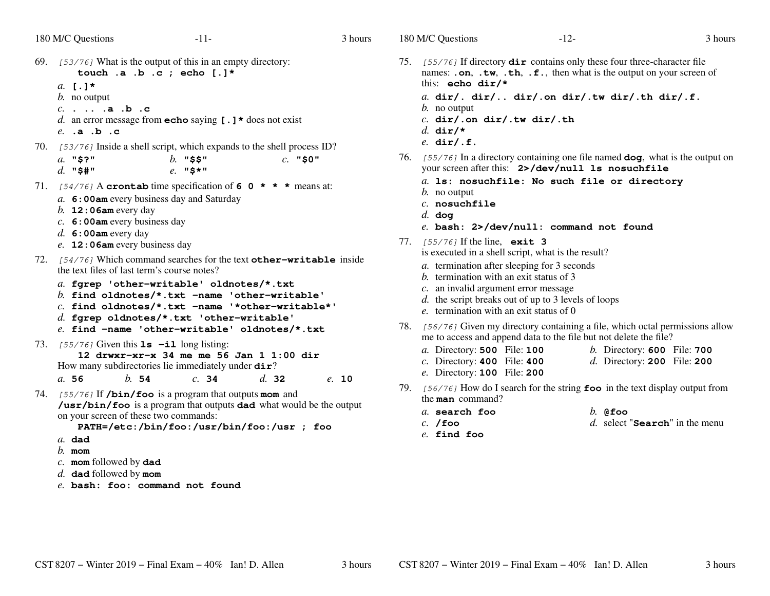3 hours

```
\sim 3
69. [53/76] What is the output of this in an empty directory:
       touch .a .b .c ; echo [.]*a. [.]*
b. no outputc. . .. .a .b .c
    d. an error message from echo saying [.]* does not exist
    e. .a .b .c70. [53/76] Inside a shell script, which expands to the shell process ID?
    a. "$?" b. "$$" c. "$0"
    d. "$#" e. "$*"
71. [54/76] A crontab time specification of 6 0 \star \star \star means at:
    a. 6:00am every business day and Saturday
    b. 12:06am every day
    c. 6:00am every business day
    d. 6:00am every day
    e. 12:06am every business day
72. [54/76] Which command searches for the text other-writable inside
   the text files of last term's course notes?a. fgrep 'other-writable' oldnotes/*.txt
b. find oldnotes/*.txt -name 'other-writable'
c. find oldnotes/*.txt -name '*other-writable*'d. fgrep oldnotes/*.txt 'other-writable'
e. find -name 'other-writable' oldnotes/*.txt73. [55/76] Given this ls -il long listing:
       12 drwxr-xr-x 34 me me 56 Jan 1 1:00 dirHow many subdirectories lie immediately under dir?a. 56 b. 54 c. 34 d. 32 e. 10
```
74. [55/76] If **/bin/foo** is a program that outputs **mom** and **/usr/bin/foo** is a program that outputs **dad** what would be the output on your screen of these two commands:

**PATH=/etc:/bin/foo:/usr/bin/foo:/usr ; foo**

- *a.* **dad**
- *b.* **mom**
- *c.* **mom** followed by **dad**
- *d.* **dad** followed by **mom**
- *e.* **bash: foo: command not found**
- 75. [55/76] If directory **dir** contains only these four three-character file names: **.on**, **.tw**, **.th**, **.f.**, then what is the output on your screen ofthis: **echo dir/\*** *a.* **dir/. dir/.. dir/.on dir/.tw dir/.th dir/.f.***b.* no output *c.* **dir/.on dir/.tw dir/.th***d.* **dir/\****e.* **dir/.f.**
- 76. [55/76] In a directory containing one file named **dog**, what is the output on your screen after this: **2>/dev/null ls nosuchfile**
	- *a.* **ls: nosuchfile: No such file or directory**
	- *b.* no output
	- *c.* **nosuchfile**
	- *d.* **dog**
	- *e.* **bash: 2>/dev/null: command not found**
- 77. [55/76] If the line, **exit 3** is executed in a shell script, what is the result?
	- *a.* termination after sleeping for 3 seconds
	- *b.* termination with an exit status of 3
	- *c.* an invalid argument error message
	- *d.* the script breaks out of up to 3 levels of loops
	- *e.* termination with an exit status of 0
- 78. [56/76] Given my directory containing a file, which octal permissions allowme to access and append data to the file but not delete the file?
	- File: **<sup>100</sup>** *b.* Directory: **<sup>600</sup>** File: **<sup>700</sup>** *a.* Directory: **500**
	- *c.* Directory: **400**File: **<sup>400</sup>** *d.* Directory: **<sup>200</sup>** File: **<sup>200</sup>**
	- *e.* Directory: **100** File: **<sup>200</sup>**
- 79. [56/76] How do <sup>I</sup> search for the string **foo** in the text display output fromthe **man** command?
	- *a.* **search foo** *b.* **@foo** *c.* **/foo***d.* select "**Search**" in the menu
	- *e.* **find foo**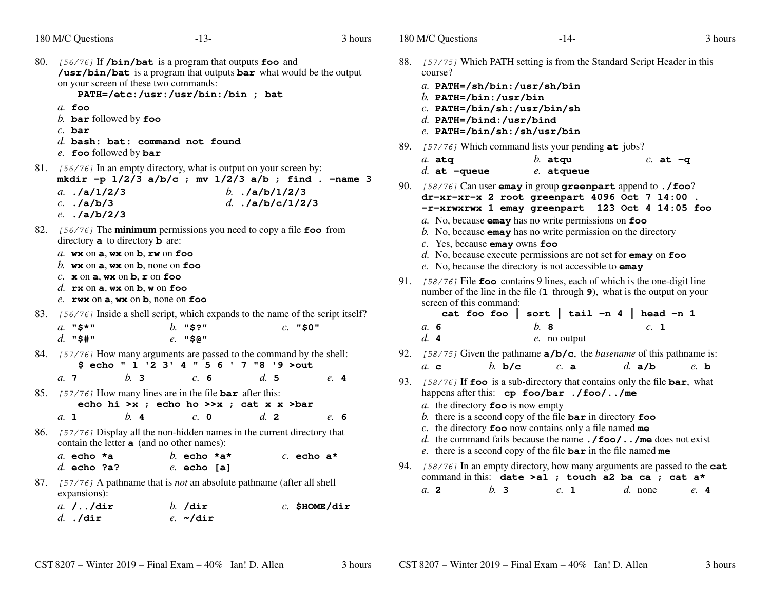- 80. [56/76] If **/bin/bat** is a program that outputs **foo** and **/usr/bin/bat** is a program that outputs **bar** what would be the output on your screen of these two commands: **PATH=/etc:/usr:/usr/bin:/bin ; bat***a.* **foo** *b.* **bar** followed by **foo** *c.* **bar** *d.* **bash: bat: command not found***e.* **foo** followed by **bar**
- 81.  $[56/76]$  In an empty directory, what is output on your screen by: **mkdir -p 1/2/3 a/b/c ; mv 1/2/3 a/b ; find . -name 3**
	- *a.* **./a/1/2/3** *b.* **./a/b/1/2/3** *c.* **./a/b/3** *d.* **./a/b/c/1/2/3** *e.* **./a/b/2/3**
- 82.  $[56/76]$  The **minimum** permissions you need to copy a file **foo** from directory **a** to directory **b** are: directory **<sup>a</sup>** to directory **<sup>b</sup>** are:
	- *a.* **wx** on **<sup>a</sup>**, **wx** on **<sup>b</sup>**, **rw** on **foo**
	- *b.* **wx** on **<sup>a</sup>**, **wx** on **<sup>b</sup>**, none on **foo**
	- *c.* **<sup>x</sup>** on **<sup>a</sup>**, **wx** on **<sup>b</sup>**, **<sup>r</sup>** on **foo**
	- *d.* **rx** on **<sup>a</sup>**, **wx** on **<sup>b</sup>**, **<sup>w</sup>** on **foo**
	- *e.* **rwx** on **<sup>a</sup>**, **wx** on **<sup>b</sup>**, none on **foo**
- 83. [56/76] Inside a shell script, which expands to the name of the script itself?

| $a.$ "\$*" | $b.$ "\$?" | $c.$ "\$0" |
|------------|------------|------------|
| d. "\$#"   | $e.$ "\$@" |            |

- 84. [57/76] How many arguments are passed to the command by the shell: **\$ echo " 1 '2 3' 4 " 5 6 ' 7 "8 '9 >out**
- *a.* **<sup>7</sup>***b.* **<sup>3</sup>** *c.* **<sup>6</sup>** *d.* **<sup>5</sup>** *e.* **<sup>4</sup>**
- 85. [57/76] How many lines are in the file **bar** after this: **echo hi >x ; echo ho >>x ; cat x x >bar**
	- *a.* **<sup>1</sup>***b.* **<sup>4</sup>** *c.* **<sup>0</sup>** *d.* **<sup>2</sup>** *e.* **<sup>6</sup>**
- 86. [57/76] Display all the non-hidden names in the current directory that contain the letter **<sup>a</sup>** (and no other names):

| a. echo $*$ a |  | b. echo $*$ a $*$ |  | c. echo $a^*$ |  |
|---------------|--|-------------------|--|---------------|--|
| $d.$ echo ?a? |  | $e.$ echo [a]     |  |               |  |

87. [57/76] <sup>A</sup> pathname that is *not* an absolute pathname (after all shell expansions):

| <i>a. //</i> dir | $b.$ /dir      | $c.$ \$HOME/dir |
|------------------|----------------|-----------------|
| $d.$ ./dir       | e. $\sim$ /dir |                 |

- 88. [57/75] Which PATH setting is from the Standard Script Header in this course?
	- *a.* **PATH=/sh/bin:/usr/sh/bin**
	- *b.* **PATH=/bin:/usr/bin**
	- *c.* **PATH=/bin/sh:/usr/bin/sh**
	- *d.* **PATH=/bind:/usr/bind**
	- *e.* **PATH=/bin/sh:/sh/usr/bin**
- 89. [57/76] Which command lists your pending **at** jobs?

| $a.$ atg          | $b.$ atqu    | $c.$ at $-q$ |
|-------------------|--------------|--------------|
| $d.$ at $-$ queue | $e.$ atqueue |              |

- 90. [58/76] Can user **emay** in group **greenpart** append to **./foo**? **dr-xr-xr-x 2 root greenpart 4096 Oct 7 14:00 . -r-xrwxrwx 1 emay greenpart 123 Oct 4 14:05 foo**
	- *a.* No, because **emay** has no write permissions on **foo**
	- *b.* No, because **emay** has no write permission on the directory
	- *c.* Yes, because **emay** owns **foo**
	- *d.* No, because execute permissions are not set for **emay** on **foo**
	- *e.* No, because the directory is not accessible to **emay**
- 91. [58/76] File **foo** contains 9 lines, each of which is the one-digit line number of the line in the file (**1** through **<sup>9</sup>**), what is the output on your screen of this command:

 **cat foo foo | sort | tail -n 4 | head -n 1***a.* **6** *b.* **<sup>8</sup>** *c.* **<sup>1</sup>** *d.* **<sup>4</sup>***e.* no output

- 92. [58/75] Given the pathname **a/b/c**, the *basename* of this pathname is: *a.* **<sup>c</sup>***b.* **b/c** *c.* **<sup>a</sup>** *d.* **a/b** *e.* **<sup>b</sup>**
- 93. [58/76] If **foo** is a sub-directory that contains only the file **bar**, what happens after this: **cp foo/bar ./foo/../me**

*a.* the directory **foo** is now empty

- *b.* there is a second copy of the file **bar** in directory **foo**
- *c.* the directory **foo** now contains only a file named **me**
- *d.* the command fails because the name **./foo/../me** does not exist
- *e.* there is a second copy of the file **bar** in the file named **me**
- 94. [58/76] In an empty directory, how many arguments are passed to the **cat**command in this: **date >a1 ; touch a2 ba ca ; cat a\*** $e_{\alpha}$  4 *a.* **<sup>2</sup>***b.* **<sup>3</sup>** *c.* **<sup>1</sup>** *d.* none *e.* **<sup>4</sup>**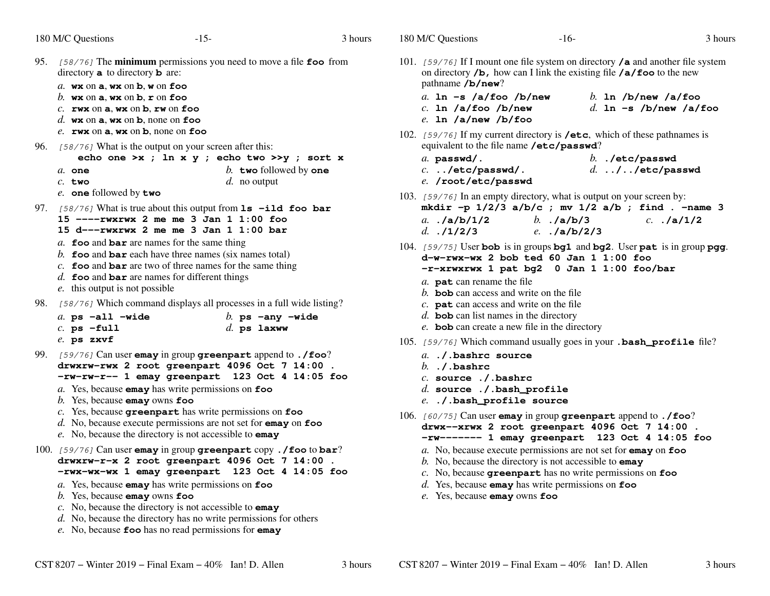|                                                          | $-15-$                                   | 3 hours                                                                                                                                                                                                                                                                                                                                                                                                                                                                                                                                                                                                                                                                                                                                                                                                                                                                                                                                                                                                                                                                                                                                                                                                                                                                                     | 180 M/C Questions                                                                                                                                                                                                                                                                                                                                                                                                                                                                                                                                                                                                  | $-16-$            | 3 hours                                                                                                                                                                                                                                                                                                                                                                                                                                                                                                                                                                                                                                                                                                                                                                                                                                                                                                                                                                                                                                                                                                                                                                                                                                                                                                                                                                                                                                                                                                                                                                                                                                                                                                                          |
|----------------------------------------------------------|------------------------------------------|---------------------------------------------------------------------------------------------------------------------------------------------------------------------------------------------------------------------------------------------------------------------------------------------------------------------------------------------------------------------------------------------------------------------------------------------------------------------------------------------------------------------------------------------------------------------------------------------------------------------------------------------------------------------------------------------------------------------------------------------------------------------------------------------------------------------------------------------------------------------------------------------------------------------------------------------------------------------------------------------------------------------------------------------------------------------------------------------------------------------------------------------------------------------------------------------------------------------------------------------------------------------------------------------|--------------------------------------------------------------------------------------------------------------------------------------------------------------------------------------------------------------------------------------------------------------------------------------------------------------------------------------------------------------------------------------------------------------------------------------------------------------------------------------------------------------------------------------------------------------------------------------------------------------------|-------------------|----------------------------------------------------------------------------------------------------------------------------------------------------------------------------------------------------------------------------------------------------------------------------------------------------------------------------------------------------------------------------------------------------------------------------------------------------------------------------------------------------------------------------------------------------------------------------------------------------------------------------------------------------------------------------------------------------------------------------------------------------------------------------------------------------------------------------------------------------------------------------------------------------------------------------------------------------------------------------------------------------------------------------------------------------------------------------------------------------------------------------------------------------------------------------------------------------------------------------------------------------------------------------------------------------------------------------------------------------------------------------------------------------------------------------------------------------------------------------------------------------------------------------------------------------------------------------------------------------------------------------------------------------------------------------------------------------------------------------------|
|                                                          |                                          |                                                                                                                                                                                                                                                                                                                                                                                                                                                                                                                                                                                                                                                                                                                                                                                                                                                                                                                                                                                                                                                                                                                                                                                                                                                                                             |                                                                                                                                                                                                                                                                                                                                                                                                                                                                                                                                                                                                                    |                   |                                                                                                                                                                                                                                                                                                                                                                                                                                                                                                                                                                                                                                                                                                                                                                                                                                                                                                                                                                                                                                                                                                                                                                                                                                                                                                                                                                                                                                                                                                                                                                                                                                                                                                                                  |
|                                                          |                                          |                                                                                                                                                                                                                                                                                                                                                                                                                                                                                                                                                                                                                                                                                                                                                                                                                                                                                                                                                                                                                                                                                                                                                                                                                                                                                             |                                                                                                                                                                                                                                                                                                                                                                                                                                                                                                                                                                                                                    |                   | b. In $/b$ /new /a/foo<br>d. 1n -s /b/new /a/foo                                                                                                                                                                                                                                                                                                                                                                                                                                                                                                                                                                                                                                                                                                                                                                                                                                                                                                                                                                                                                                                                                                                                                                                                                                                                                                                                                                                                                                                                                                                                                                                                                                                                                 |
|                                                          |                                          |                                                                                                                                                                                                                                                                                                                                                                                                                                                                                                                                                                                                                                                                                                                                                                                                                                                                                                                                                                                                                                                                                                                                                                                                                                                                                             |                                                                                                                                                                                                                                                                                                                                                                                                                                                                                                                                                                                                                    |                   |                                                                                                                                                                                                                                                                                                                                                                                                                                                                                                                                                                                                                                                                                                                                                                                                                                                                                                                                                                                                                                                                                                                                                                                                                                                                                                                                                                                                                                                                                                                                                                                                                                                                                                                                  |
| $a.$ one<br>$c.$ two                                     | b. two followed by one<br>$d.$ no output |                                                                                                                                                                                                                                                                                                                                                                                                                                                                                                                                                                                                                                                                                                                                                                                                                                                                                                                                                                                                                                                                                                                                                                                                                                                                                             | $a.$ passwd/.                                                                                                                                                                                                                                                                                                                                                                                                                                                                                                                                                                                                      | $b.$ ./etc/passwd | $d.$ //etc/passwd                                                                                                                                                                                                                                                                                                                                                                                                                                                                                                                                                                                                                                                                                                                                                                                                                                                                                                                                                                                                                                                                                                                                                                                                                                                                                                                                                                                                                                                                                                                                                                                                                                                                                                                |
| e. one followed by two                                   |                                          |                                                                                                                                                                                                                                                                                                                                                                                                                                                                                                                                                                                                                                                                                                                                                                                                                                                                                                                                                                                                                                                                                                                                                                                                                                                                                             | a. $\lambda/a/b/1/2$                                                                                                                                                                                                                                                                                                                                                                                                                                                                                                                                                                                               |                   | $c.$ ./a/1/2                                                                                                                                                                                                                                                                                                                                                                                                                                                                                                                                                                                                                                                                                                                                                                                                                                                                                                                                                                                                                                                                                                                                                                                                                                                                                                                                                                                                                                                                                                                                                                                                                                                                                                                     |
| e. this output is not possible                           |                                          |                                                                                                                                                                                                                                                                                                                                                                                                                                                                                                                                                                                                                                                                                                                                                                                                                                                                                                                                                                                                                                                                                                                                                                                                                                                                                             |                                                                                                                                                                                                                                                                                                                                                                                                                                                                                                                                                                                                                    |                   |                                                                                                                                                                                                                                                                                                                                                                                                                                                                                                                                                                                                                                                                                                                                                                                                                                                                                                                                                                                                                                                                                                                                                                                                                                                                                                                                                                                                                                                                                                                                                                                                                                                                                                                                  |
| $a.$ ps $-\text{all }$ $-\text{wide}$<br>$c.$ ps $-full$ | b. ps $-$ any $-wide$<br>$d.$ ps laxww   |                                                                                                                                                                                                                                                                                                                                                                                                                                                                                                                                                                                                                                                                                                                                                                                                                                                                                                                                                                                                                                                                                                                                                                                                                                                                                             |                                                                                                                                                                                                                                                                                                                                                                                                                                                                                                                                                                                                                    |                   |                                                                                                                                                                                                                                                                                                                                                                                                                                                                                                                                                                                                                                                                                                                                                                                                                                                                                                                                                                                                                                                                                                                                                                                                                                                                                                                                                                                                                                                                                                                                                                                                                                                                                                                                  |
|                                                          |                                          |                                                                                                                                                                                                                                                                                                                                                                                                                                                                                                                                                                                                                                                                                                                                                                                                                                                                                                                                                                                                                                                                                                                                                                                                                                                                                             | $b.$ . / bashrc                                                                                                                                                                                                                                                                                                                                                                                                                                                                                                                                                                                                    |                   |                                                                                                                                                                                                                                                                                                                                                                                                                                                                                                                                                                                                                                                                                                                                                                                                                                                                                                                                                                                                                                                                                                                                                                                                                                                                                                                                                                                                                                                                                                                                                                                                                                                                                                                                  |
|                                                          |                                          |                                                                                                                                                                                                                                                                                                                                                                                                                                                                                                                                                                                                                                                                                                                                                                                                                                                                                                                                                                                                                                                                                                                                                                                                                                                                                             |                                                                                                                                                                                                                                                                                                                                                                                                                                                                                                                                                                                                                    |                   |                                                                                                                                                                                                                                                                                                                                                                                                                                                                                                                                                                                                                                                                                                                                                                                                                                                                                                                                                                                                                                                                                                                                                                                                                                                                                                                                                                                                                                                                                                                                                                                                                                                                                                                                  |
|                                                          |                                          |                                                                                                                                                                                                                                                                                                                                                                                                                                                                                                                                                                                                                                                                                                                                                                                                                                                                                                                                                                                                                                                                                                                                                                                                                                                                                             |                                                                                                                                                                                                                                                                                                                                                                                                                                                                                                                                                                                                                    |                   |                                                                                                                                                                                                                                                                                                                                                                                                                                                                                                                                                                                                                                                                                                                                                                                                                                                                                                                                                                                                                                                                                                                                                                                                                                                                                                                                                                                                                                                                                                                                                                                                                                                                                                                                  |
|                                                          | 180 M/C Questions<br>e. ps zxvf          | directory $a$ to directory $b$ are:<br>a. $wx$ on $a, wx$ on $b, w$ on foo<br>b. wx on $a$ , wx on $b$ , $r$ on foo<br>$c.$ rwx on a, wx on b, rw on foo<br>d. wx on $a$ , wx on $b$ , none on foo<br>e. $rwx$ on $a$ , $wx$ on $b$ , none on foo<br>96. [58/76] What is the output on your screen after this:<br>15 $---rwxrwx$ 2 me me 3 Jan 1 1:00 foo<br>15 d---rwxrwx 2 me me 3 Jan 1 1:00 bar<br>a. $\bf{foo}$ and $\bf{bar}$ are names for the same thing<br>b. foo and bar each have three names (six names total)<br>c. foo and bar are two of three names for the same thing<br>$d.$ foo and bar are names for different things<br>$a$ . Yes, because <b>emay</b> has write permissions on $\textbf{foo}$<br>$b$ . Yes, because emay owns foo<br>c. Yes, because greenpart has write permissions on foo<br>$d.$ No, because execute permissions are not set for <b>emay</b> on $f$ oo<br>e. No, because the directory is not accessible to <b>emay</b><br>$a$ . Yes, because <b>emay</b> has write permissions on $\textbf{foo}$<br>$b$ . Yes, because <b>emay</b> owns <b>foo</b><br>$c$ . No, because the directory is not accessible to <b>emay</b><br>d. No, because the directory has no write permissions for others<br>e. No, because foo has no read permissions for emay | 95. [58/76] The minimum permissions you need to move a file foo from<br>echo one >x; ln x y; echo two >>y; sort x<br>97. $[58/76]$ What is true about this output from $1s$ -ild foo bar<br>98. [58/76] Which command displays all processes in a full wide listing?<br>99. [59/76] Can user emay in group greenpart append to . / foo?<br>drwxrw-rwx 2 root greenpart 4096 Oct 7 14:00.<br>-rw-rw-r-- 1 emay greenpart 123 Oct 4 14:05 foo<br>100. [59/76] Can user emay in group greenpart copy./foo to bar?<br>drwxrw-r-x 2 root greenpart 4096 Oct 7 14:00.<br>-rwx-wx-wx 1 emay greenpart 123 Oct 4 14:05 foo |                   | 101. [59/76] If I mount one file system on directory /a and another file system<br>on directory $/b$ , how can I link the existing file $/a$ foo to the new<br>pathname $/b/new$ ?<br>a. $\ln -s$ /a/foo /b/new<br>$c.$ 1n /a/foo /b/new<br>e. 1n $/a$ /new /b/foo<br>102. [59/76] If my current directory is <b>/etc</b> , which of these pathnames is<br>equivalent to the file name /etc/passwd?<br>$c.$ /etc/passwd/.<br>e. /root/etc/passwd<br>103. [59/76] In an empty directory, what is output on your screen by:<br>mkdir -p $1/2/3$ a/b/c ; mv $1/2$ a/b ; find . -name 3<br>b. $(a/b)/3$<br>d. $.1/2/3$ e. $.2b/2/3$<br>104. $[59/75]$ User bob is in groups bg1 and bg2. User pat is in group pgg.<br>$d-w-rwx-wx$ 2 bob ted 60 Jan 1 1:00 foo<br>-r-xrwxrwx 1 pat bg2 0 Jan 1 1:00 foo/bar<br>a. <b>pat</b> can rename the file<br>b. <b>bob</b> can access and write on the file<br>$c$ . <b>pat</b> can access and write on the file<br>$d.$ bob can list names in the directory<br>e. <b>bob</b> can create a new file in the directory<br>105. [59/76] Which command usually goes in your .bash_profile file?<br>a. ./.bashrc source<br>$c.$ source $./$ . bashrc<br>$d.$ source ./.bash_profile<br>e. ./.bash_profile source<br>106. [60/75] Can user emay in group greenpart append to ./foo?<br>drwx--xrwx 2 root greenpart 4096 Oct 7 14:00.<br>-rw------- 1 emay greenpart 123 Oct 4 14:05 foo<br>a. No, because execute permissions are not set for emay on foo<br>b. No, because the directory is not accessible to <b>emay</b><br>$c$ . No, because greenpart has no write permissions on foo<br>$d.$ Yes, because <b>emay</b> has write permissions on $\textbf{foo}$<br>e. Yes, because emay owns foo |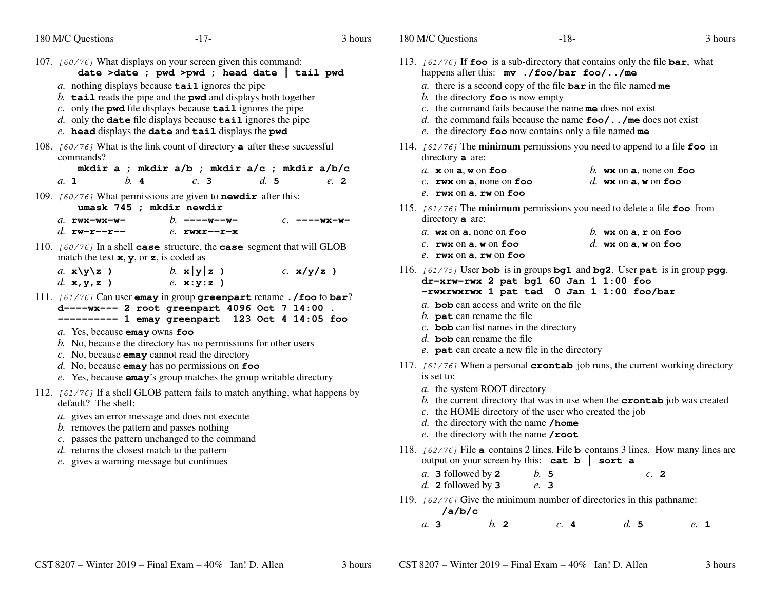|  | 180 M/C Questions |
|--|-------------------|
|--|-------------------|

- 107. [60/76] What displays on your screen given this command: **date >date ; pwd >pwd ; head date | tail pwd***a.* nothing displays because **tail** ignores the pipe *b.* **tail** reads the pipe and the **pwd** and displays both together *c.* only the **pwd** file displays because **tail** ignores the pipe *d.* only the **date** file displays because **tail** ignores the pipe *e.* **head** displays the **date** and **tail** displays the **pwd** 108. [60/76] What is the link count of directory **<sup>a</sup>** after these successful commands? **mkdir a ; mkdir a/b ; mkdir a/c ; mkdir a/b/c** $e$ , 2 *a.* **<sup>1</sup>** *b.* **<sup>4</sup>** *c.* **<sup>3</sup>** *d.* **<sup>5</sup>** *e.* **<sup>2</sup>** 109. [60/76] What permissions are given to **newdir** after this: **umask 745 ; mkdir newdir** *b.* **----w--w-** *c.* **----wx-w***a.* **rwx-wx-w***d.* **rw-r--r-** *e.* **rwxr--r-x** 110. [60/76] In a shell **case** structure, the **case** segment that will GLOBmatch the text **<sup>x</sup>**, **y**, or **<sup>z</sup>**, is coded as*a.* **x\y\z )** *b.* **x|y|z )** *c.* **x/y/z )** *d.* **x,y,z )** *e.* **x:y:z )** 111. [61/76] Can user **emay** in group **greenpart** rename **./foo** to **bar**? **d----wx--- 2 root greenpart 4096 Oct 7 14:00 . ---------- 1 emay greenpart 123 Oct 4 14:05 foo** *a.* Yes, because **emay** owns **foo** *b.* No, because the directory has no permissions for other users*c.* No, because **emay** cannot read the directory *d.* No, because **emay** has no permissions on **foo** *e.* Yes, because **emay**'s group matches the group writable directory112.  $[61/76]$  If a shell GLOB pattern fails to match anything, what happens by default? The shell: *a.* gives an error message and does not execute*b.* removes the pattern and passes nothing *c.* passes the pattern unchanged to the command*d.* returns the closest match to the pattern*e*. gives a warning message but continues
- 113. [61/76] If **foo** is a sub-directory that contains only the file **bar**, what happens after this: **mv ./foo/bar foo/../me** *a.* there is a second copy of the file **bar** in the file named **me** *b.* the directory **foo** is now empty *c.* the command fails because the name **me** does not exist *d.* the command fails because the name **foo/../me** does not exist *e.* the directory **foo** now contains only a file named **me** 114. [61/76] The **minimum** permissions you need to append to a file **foo** in directory **<sup>a</sup>** are: *a.* **<sup>x</sup>** $b$ . **wx** on **a**, none on **foo** *c.* **rwx** $d$ , **wx** on **a**, **w** on **foo** *e.* **rwx** on **<sup>a</sup>**, **rw** on **foo** 115. [61/76] The **minimum** permissions you need to delete a file **foo** from directory **<sup>a</sup>** are: *a.* **wx** on **<sup>a</sup>**, none on **foo** *b.* **wx** on **<sup>a</sup>**, **<sup>r</sup>** on **foo** *c.* **rwx** on **<sup>a</sup>**, **<sup>w</sup>** on **foo** *d.* **wx** on **<sup>a</sup>**, **<sup>w</sup>** on **foo** *e.* **rwx** on **<sup>a</sup>**, **rw** on **foo** 116. [61/75] User **bob** is in groups **bg1** and **bg2**. User **pat** is in group **pgg**. **dr-xrw-rwx 2 pat bg1 60 Jan 1 1:00 foo -rwxrwxrwx 1 pat ted <sup>0</sup> Jan 1 1:00 foo/bar** *a.* **bob** can access and write on the file *b.* **pat** can rename the file *c.* **bob** can list names in the directory *d.* **bob** can rename the file *e.* **pat** can create a new file in the directory 117. [61/76] When a personal **crontab** job runs, the current working directory is set to:*a.* the system ROOT directory *b.* the current directory that was in use when the **crontab** job was created *c.* the HOME directory of the user who created the job*d.* the directory with the name **/home** *e.* the directory with the name **/root**118. [62/76] File **<sup>a</sup>** contains 2 lines. File **<sup>b</sup>** contains 3 lines. How many lines are output on your screen by this: **cat b | sort a***a.* **3** followed by **<sup>2</sup>** *b.* **<sup>5</sup>** *c.* **<sup>2</sup>** *d.* **<sup>2</sup>** followed by **<sup>3</sup>** *e.* **<sup>3</sup>** 119.  $[62/76]$  Give the minimum number of directories in this pathname: **/a/b/c***a.* **3***b.* **<sup>2</sup>** *c.* **<sup>4</sup>** *d.* **<sup>5</sup>** *e.* **<sup>1</sup>**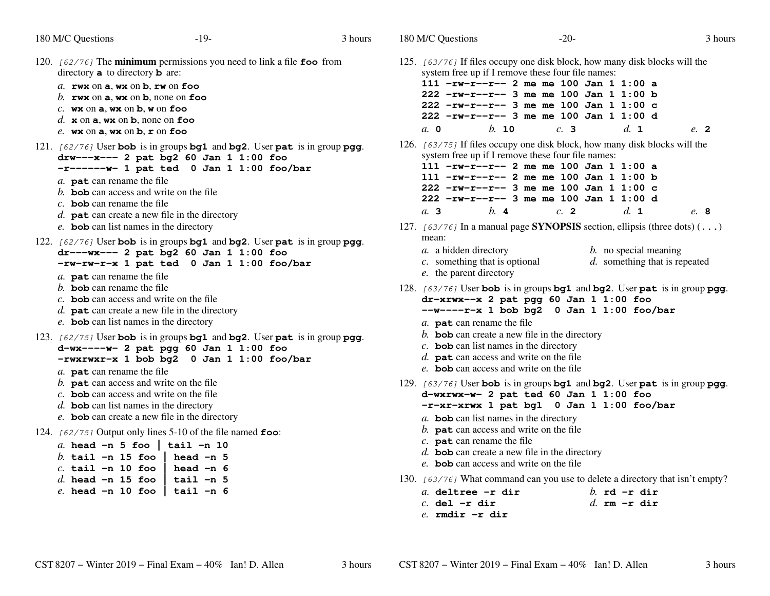|  | 180 M/C Questions |
|--|-------------------|
|--|-------------------|

s  $-19$ - $\frac{1}{9}$  3 120. [62/76] The **minimum** permissions you need to link a file **foo** from directory**a** to directory **b** are: *a.* **rwx** on **a**, **wx** on **b**, **rw** on **foo** *b.* **rwx** on **a**, **wx** on **b**, none on **foo***c.* **wx** on **a**, **wx** on **b**, **<sup>w</sup>** on **foo** *d.***x** on **a**, **wx** on **b**, none on **foo***e.* **wx** on **a**, **wx** on **b**, **<sup>r</sup>** on **foo** 121. [62/76] User **bob** is in groups **bg1** and **bg2**. User **pat** is in group **pgg**. **drw---x--- 2 pat bg2 60 Jan 1 1:00 foo -r------w- 1 pat ted <sup>0</sup> Jan 1 1:00 foo/bar** *a.* **pat** can rename the file *b.* **bob** can access and write on the file *c.* **bob** can rename the file *d.* **pat** can create a new file in the directory *e.* **bob** can list names in the directory 122. [62/76] User **bob** is in groups **bg1** and **bg2**. User **pat** is in group **pgg**. **dr---wx--- 2 pat bg2 60 Jan 1 1:00 foo -rw-rw-r-x 1 pat ted <sup>0</sup> Jan 1 1:00 foo/bar** *a.* **pat** can rename the file *b.* **bob** can rename the file *c.* **bob** can access and write on the file *d.* **pat** can create a new file in the directory *e.* **bob** can list names in the directory 123. [62/75] User **bob** is in groups **bg1** and **bg2**. User **pat** is in group **pgg**. **d-wx----w- 2 pat pgg 60 Jan 1 1:00 foo -rwxrwxr-x 1 bob bg2 <sup>0</sup> Jan 1 1:00 foo/bar** *a.* **pat** can rename the file *b.* **pat** can access and write on the file *c.* **bob** can access and write on the file *d.* **bob** can list names in the directory *e.* **bob** can create a new file in the directory 124. [62/75] Output only lines 5-10 of the file named **foo**: *a.* **head -n 5 foo | tail -n 10** $-20$ - $3$ 125. [63/76] If files occupy one disk block, how many disk blocks will the system free up if I remove these four file names: **111 -rw-r--r-- 2 me me 100 Jan 1 1:00 a 222 -rw-r--r-- 3 me me 100 Jan 1 1:00 b 222 -rw-r--r-- 3 me me 100 Jan 1 1:00 c 222 -rw-r--r-- 3 me me 100 Jan 1 1:00 d***a.***0** *b.* **<sup>10</sup>** *c.* **3** *d.* **1** *e.* **2**126. [63/75] If files occupy one disk block, how many disk blocks will the system free up if I remove these four file names: **111 -rw-r--r-- 2 me me 100 Jan 1 1:00 a 111 -rw-r--r-- 2 me me 100 Jan 1 1:00 b 222 -rw-r--r-- 3 me me 100 Jan 1 1:00 c 222 -rw-r--r-- 3 me me 100 Jan 1 1:00 d***a.***3** *b.* **4** *c.* **2** *d.* **1** *e.* **8**127. [63/76] In a manual page **SYNOPSIS** section, ellipsis (three dots) (**...**) mean:*a.* <sup>a</sup> hidden directory *b.* no special meaning *c.* something that is optional *d.* something that is repeated*e.* the parent directory128. [63/76] User **bob** is in groups **bg1** and **bg2**. User **pat** is in group **pgg**. **dr-xrwx--x 2 pat pgg 60 Jan 1 1:00 foo --w----r-x 1 bob bg2 <sup>0</sup> Jan 1 1:00 foo/bar** *a.* **pat** can rename the file *b.* **bob** can create a new file in the directory *c.* **bob** can list names in the directory *d.* **pat** can access and write on the file *e.* **bob** can access and write on the file 129. [63/76] User **bob** is in groups **bg1** and **bg2**. User **pat** is in group **pgg**. **d-wxrwx-w- 2 pat ted 60 Jan 1 1:00 foo -r-xr-xrwx 1 pat bg1 <sup>0</sup> Jan 1 1:00 foo/bar** *a.* **bob** can list names in the directory *b.* **pat** can access and write on the file *c.* **pat** can rename the file

- *d.* **bob** can create a new file in the directory
- *e.* **bob** can access and write on the file
- 130. [63/76] What command can you use to delete a directory that isn't empty?

| a. deltree -r dir |  | $h$ rd $-r$ dir |
|-------------------|--|-----------------|
| $c.$ del -r dir   |  | d. rm $-r$ dir  |
| e. rmdir -r dir   |  |                 |

*b.* **tail -n 15 foo | head -n 5**

*c.* **tail -n 10 foo | head -n 6**

*d.* **head -n 15 foo | tail -n 5***e.* **head -n 10 foo | tail -n 6**

head  $-n$  5

head  $-n$  6

 $\vert$  tail -n 5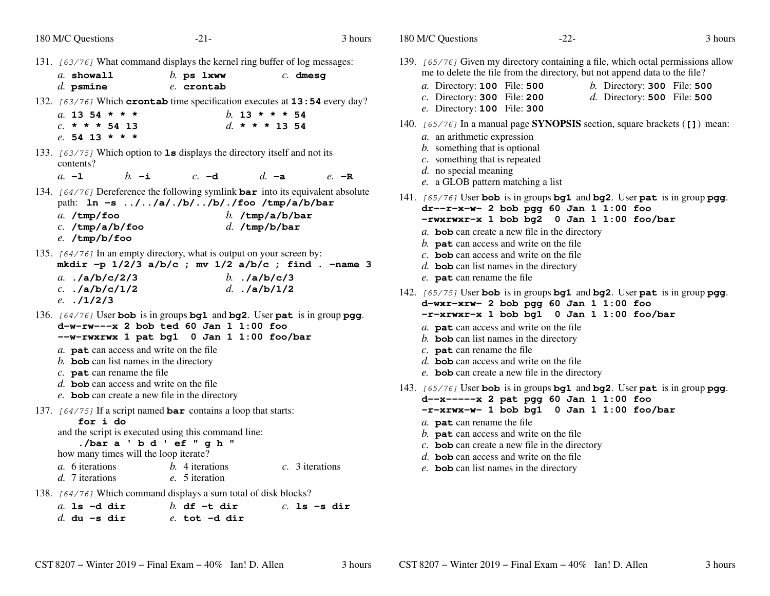| 180 M/C Questions                                                                                                                                                                                                  | $-21-$                                                                                                                                                                  | 3 hours                                                  |
|--------------------------------------------------------------------------------------------------------------------------------------------------------------------------------------------------------------------|-------------------------------------------------------------------------------------------------------------------------------------------------------------------------|----------------------------------------------------------|
| a. showall<br>$d.$ psmine                                                                                                                                                                                          | 131. [63/76] What command displays the kernel ring buffer of log messages:<br>$b$ . ps $1$ xww<br>e. crontab                                                            | $c.$ dmesg                                               |
| a. 13 54 * * *<br>$c. * * * 54 13$<br>e. 54 13 * * *                                                                                                                                                               | 132. [63/76] Which crontab time specification executes at 13:54 every day?                                                                                              | b. 13 * * * 54<br>d. * * * 13 54                         |
| contents?<br>$a. -1$<br>$h_{-}$ -i                                                                                                                                                                                 | 133. [63/75] Which option to 1s displays the directory itself and not its<br>$c. -d$                                                                                    | $d_{\mathbf{r}}$ -a<br>$e$ –R                            |
| $a.$ /tmp/foo<br>$c.$ /tmp/a/b/foo<br>e. /tmp/b/foo                                                                                                                                                                | 134. [64/76] Dereference the following symlink bar into its equivalent absolute<br>path: 1n -s //a/./b//b/./foo /tmp/a/b/bar<br>$d.$ /tmp/b/bar                         | b. $/\text{tmp/a/b/bar}$                                 |
| a. $./a/b/c/2/3$<br>$c.$ ./a/b/c/1/2<br>e. $.11/2/3$                                                                                                                                                               | 135. [64/76] In an empty directory, what is output on your screen by:<br>b. $\mathsf{1a/b/c}/3$<br>d. $./a/b/1/2$                                                       | mkdir -p $1/2/3$ a/b/c ; mv $1/2$ a/b/c ; find . -name 3 |
| a. pat can access and write on the file<br>$b$ . bob can list names in the directory<br>$c.$ pat can rename the file<br>$d.$ bob can access and write on the file<br>e. bob can create a new file in the directory | 136. [64/76] User bob is in groups bg1 and bg2. User pat is in group pgg.<br>$d-w-rw---x$ 2 bob ted 60 Jan 1 1:00 foo<br>--w-rwxrwx 1 pat bg1 0 Jan 1 1:00 foo/bar      |                                                          |
| for i do<br>./bara 'bd'ef"gh"<br>how many times will the loop iterate?<br>a. 6 iterations<br>d. 7 iterations                                                                                                       | 137. $[64/75]$ If a script named <b>bar</b> contains a loop that starts:<br>and the script is executed using this command line:<br>$b$ . 4 iterations<br>e. 5 iteration | c. 3 iterations                                          |
| $a$ . 1s -d dir<br>$d.$ du -s dir                                                                                                                                                                                  | 138. [64/76] Which command displays a sum total of disk blocks?<br>$b.$ df $-t$ dir<br>$e.$ tot $-d$ dir                                                                | $c.$ ls $-s$ dir                                         |

| 180 M/C Questions                                                                                                                                                                                                                                                | $-22-$                                                                                                                                          |                                                                 | 3 hours |
|------------------------------------------------------------------------------------------------------------------------------------------------------------------------------------------------------------------------------------------------------------------|-------------------------------------------------------------------------------------------------------------------------------------------------|-----------------------------------------------------------------|---------|
| 139. [65/76] Given my directory containing a file, which octal permissions allow<br>a. Directory: 100 File: 500<br>$c.$ Directory: 300 File: 200<br>e. Directory: 100 File: 300                                                                                  | me to delete the file from the directory, but not append data to the file?                                                                      | $b$ . Directory: 300 File: 500<br>$d.$ Directory: 500 File: 500 |         |
| 140. [65/76] In a manual page <b>SYNOPSIS</b> section, square brackets ([1]) mean:<br>a. an arithmetic expression<br>b. something that is optional<br>$c$ . something that is repeated<br>$d.$ no special meaning<br>e. a GLOB pattern matching a list           |                                                                                                                                                 |                                                                 |         |
| 141. [65/76] User bob is in groups bg1 and bg2. User pat is in group pgg.<br>b. $pat$ can access and write on the file<br>$c$ . bob can access and write on the file<br>$d.$ bob can list names in the directory<br>e. pat can rename the file                   | $dr - r - x - w - 2$ bob pgg 60 Jan 1 1:00 foo<br>-rwxrwxr-x 1 bob bg2 0 Jan 1 1:00 foo/bar<br>$a$ . bob can create a new file in the directory |                                                                 |         |
| 142. [65/75] User bob is in groups bg1 and bg2. User pat is in group pgg.<br>a. pat can access and write on the file<br>$b$ . bob can list names in the directory<br>$c.$ pat can rename the file<br>$d.$ bob can access and write on the file                   | d-wxr-xrw- 2 bob pgg 60 Jan 1 1:00 foo<br>-r-xrwxr-x 1 bob bq1 0 Jan 1 1:00 foo/bar<br>e. bob can create a new file in the directory            |                                                                 |         |
| 143. [65/76] User bob is in groups bg1 and bg2. User pat is in group pgg.<br>a. <b>pat</b> can rename the file<br>b. $\mathbf{pat}$ can access and write on the file<br>d. <b>bob</b> can access and write on the file<br>e. bob can list names in the directory | d--x------ x 2 pat pgg 60 Jan 1 1:00 foo<br>-r-xrwx-w- 1 bob bg1 0 Jan 1 1:00 foo/bar<br>$c$ . bob can create a new file in the directory       |                                                                 |         |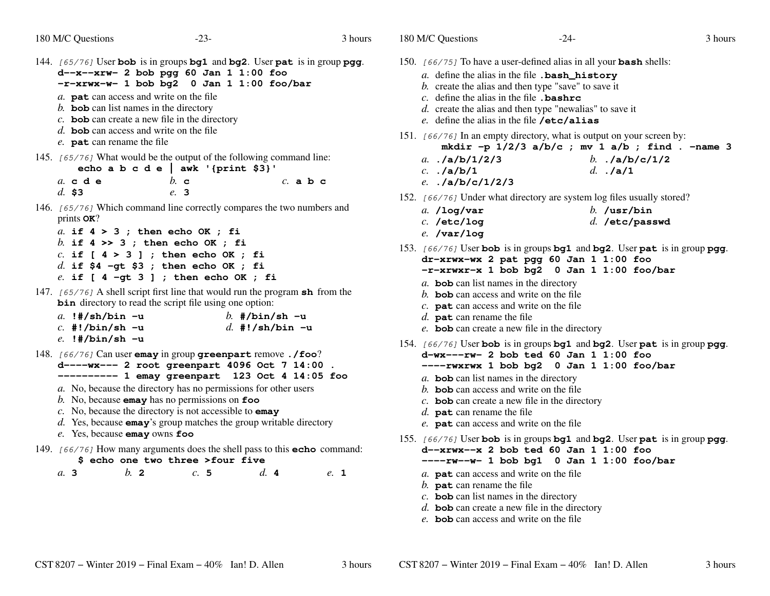- 144. [65/76] User **bob** is in groups **bg1** and **bg2**. User **pat** is in group **pgg**. **d--x--xrw- 2 bob pgg 60 Jan 1 1:00 foo -r-xrwx-w- 1 bob bg2 <sup>0</sup> Jan 1 1:00 foo/bar** *a.* **pat** can access and write on the file *b.* **bob** can list names in the directory *c.* **bob** can create a new file in the directory *d.* **bob** can access and write on the file *e.* **pat** can rename the file 145. [65/76] What would be the output of the following command line: **echo a b c d e | awk '{print \$3}'***a.* **cde** *b.* **c** *c.* **abc** *d.* **\$3** *e.* **3**146.  $[65/76]$  Which command line correctly compares the two numbers and prints **OK**? *a.* **if 4 > 3 ; then echo OK ; fi** *b.* **if 4 >> 3 ; then echo OK ; fi** *c.* **if [ 4 > 3 ] ; then echo OK ; fi** *d.* **if \$4 -gt \$3 ; then echo OK ; fi** *e.* **if [ 4 -gt 3 ] ; then echo OK ; fi**147. [65/76] <sup>A</sup> shell script first line that would run the program **sh** from the **bin** directory to read the script file using one option: *a.* **!#/sh/bin -u** *b.* **#/bin/sh -u** *c.* **#!/bin/sh -u** *d.* **#!/sh/bin -u** *e.* **!#/bin/sh -u**148. [66/76] Can user **emay** in group **greenpart** remove **./foo**? **d----wx--- 2 root greenpart 4096 Oct 7 14:00 . ---------- 1 emay greenpart 123 Oct 4 14:05 foo** *a.* No, because the directory has no permissions for other users*b.* No, because **emay** has no permissions on **foo** *c.* No, because the directory is not accessible to **emay** *d.* Yes, because **emay**'s group matches the group writable directory*e.* Yes, because **emay** owns **foo**
- 149. [66/76] How many arguments does the shell pass to this **echo** command:

## **\$ echo one two three >four five**

*a.***3** *b.* **2** *c.* **5** *d.* **4** *e.* **1** 180 M/C Questions $-24-$  3 150. [66/75] To have a user-defined alias in all your **bash** shells: *a.* define the alias in the file **.bash\_history***b*. create the alias and then type "save" to save it *c.* define the alias in the file **.bashrc** *d.* create the alias and then type "newalias" to save it*e.* define the alias in the file **/etc/alias**151. [66/76] In an empty directory, what is output on your screen by: **mkdir -p 1/2/3 a/b/c ; mv 1 a/b ; find . -name 3***a.* **./a/b/1/2/3** *b.* **./a/b/c/1/2** *c.* **./a/b/1** *d.* **./a/1** *e.* **./a/b/c/1/2/3**152. [66/76] Under what directory are system log files usually stored? *a.* **/log/var** *b.* **/usr/bin** *c.* **/etc/log** *d.* **/etc/passwd** *e.* **/var/log**153. [66/76] User **bob** is in groups **bg1** and **bg2**. User **pat** is in group **pgg**. **dr-xrwx-wx 2 pat pgg 60 Jan 1 1:00 foo -r-xrwxr-x 1 bob bg2 <sup>0</sup> Jan 1 1:00 foo/bar** *a.* **bob** can list names in the directory *b.* **bob** can access and write on the file *c.* **pat** can access and write on the file *d.* **pat** can rename the file *e.* **bob** can create a new file in the directory 154. [66/76] User **bob** is in groups **bg1** and **bg2**. User **pat** is in group **pgg**. **d-wx---rw- 2 bob ted 60 Jan 1 1:00 foo ----rwxrwx 1 bob bg2 <sup>0</sup> Jan 1 1:00 foo/bar** *a.* **bob** can list names in the directory *b.* **bob** can access and write on the file *c.* **bob** can create a new file in the directory *d.* **pat** can rename the file *e.* **pat** can access and write on the file 155. [66/76] User **bob** is in groups **bg1** and **bg2**. User **pat** is in group **pgg**. **d--xrwx--x 2 bob ted 60 Jan 1 1:00 foo ----rw--w- 1 bob bg1 <sup>0</sup> Jan 1 1:00 foo/bar** *a.* **pat** can access and write on the file *b.* **pat** can rename the file *c.* **bob** can list names in the directory *d.* **bob** can create a new file in the directory *e.* **bob** can access and write on the file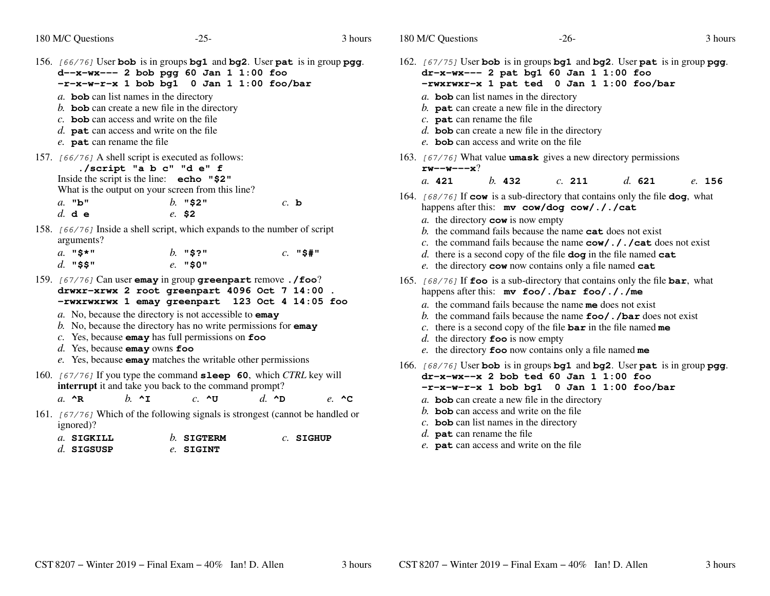*a.* **bob** can list names in the directory

 $-25$ - $-25$ - $3$ 3 hours 156. [66/76] User **bob** is in groups **bg1** and **bg2**. User **pat** is in group **pgg**. **d--x-wx--- 2 bob pgg 60 Jan 1 1:00 foo -r-x-w-r-x 1 bob bg1 <sup>0</sup> Jan 1 1:00 foo/bar emay emay**L key will 180 M/C Questions $-26$ -162. [67/75] User **bob** is in groups **bg1** and **bg2**. User **pat** is in group **pgg**. **dr-x-wx--- 2 pat bg1 60 Jan 1 1:00 foo -rwxrwxr-x 1 pat ted <sup>0</sup> Jan 1 1:00 foo/bar** *a.* **bob** can list names in the directory *b.* **pat** can create a new file in the directory *c.* **pat** can rename the file *d.* **bob** can create a new file in the directory *e.* **bob** can access and write on the file 163. [67/76] What value **umask** gives a new directory permissions **rw--w---x**?*a.* **<sup>421</sup>** *b.* **<sup>432</sup>** *c.* **<sup>211</sup>** *d.* **<sup>621</sup>** *e.* **<sup>156</sup>** 164. [68/76] If **cow** is a sub-directory that contains only the file **dog**, what happens after this: **mv cow/dog cow/././cat***a.* the directory **cow** is now empty *b.* the command fails because the name **cat** does not exist *c.* the command fails because the name **cow/././cat** does not exist *d.* there is a second copy of the file **dog** in the file named **cat** *e.* the directory **cow** now contains only a file named **cat** 165. [68/76] If **foo** is a sub-directory that contains only the file **bar**, what happens after this: **mv foo/./bar foo/././me** *a.* the command fails because the name **me** does not exist *b.* the command fails because the name **foo/./bar** does not exist *c.* there is a second copy of the file **bar** in the file named **me** *d.* the directory **foo** is now empty *e.* the directory **foo** now contains only a file named **me** 166. [68/76] User **bob** is in groups **bg1** and **bg2**. User **pat** is in group **pgg**. **dr-x-wx--x 2 bob ted 60 Jan 1 1:00 foo -r-x-w-r-x 1 bob bg1 <sup>0</sup> Jan 1 1:00 foo/bar** *a.* **bob** can create a new file in the directory *b.* **bob** can access and write on the file *c.* **bob** can list names in the directory

*d.* **pat** can rename the file *e.* **pat** can access and write on the file

| b. <b>bob</b> can create a new file in the directory<br>$c$ . bob can access and write on the file<br>d. <b>pat</b> can access and write on the file<br>e. pat can rename the file<br>157. [66/76] A shell script is executed as follows:                                                                                          | ./script "a b c" "d e" f |                          |                |            |                          |
|------------------------------------------------------------------------------------------------------------------------------------------------------------------------------------------------------------------------------------------------------------------------------------------------------------------------------------|--------------------------|--------------------------|----------------|------------|--------------------------|
| Inside the script is the line: echo "\$2"<br>What is the output on your screen from this line?                                                                                                                                                                                                                                     |                          |                          |                |            |                          |
| $a.$ "b"<br>$d.$ de                                                                                                                                                                                                                                                                                                                | $e.$ \$2                 | $b.$ "\$2"               |                | $c.$ b     |                          |
| 158. [66/76] Inside a shell script, which expands to the number of script<br>arguments?                                                                                                                                                                                                                                            |                          |                          |                |            |                          |
| $a.$ "\$*"<br>$d.$ "\$\$"                                                                                                                                                                                                                                                                                                          |                          | $b.$ "\$?"<br>$e.$ "\$0" |                | $c.$ "\$#" |                          |
| 159. [67/76] Can user emay in group greenpart remove./foo?<br>drwxr-xrwx 2 root greenpart 4096 Oct 7 14:00.<br>-rwxrwxrwx 1 emay greenpart 123 Oct 4 14:05 foo                                                                                                                                                                     |                          |                          |                |            |                          |
| a. No, because the directory is not accessible to <b>emay</b><br>b. No, because the directory has no write permissions for $\mathbf{emay}$<br>$c$ . Yes, because emay has full permissions on $\epsilon$ oo<br>$d.$ Yes, because <b>emay</b> owns <b>foo</b><br>e. Yes, because <b>emay</b> matches the writable other permissions |                          |                          |                |            |                          |
| 160. [67/76] If you type the command <b>sleep 60</b> , which CTRL key will<br>interrupt it and take you back to the command prompt?                                                                                                                                                                                                |                          |                          |                |            |                          |
| a. $^{\wedge}$ R                                                                                                                                                                                                                                                                                                                   | $h.$ ^I                  | $c. \triangle$ U         | $d. \triangle$ |            | $e$ $\sim$ $\sim$ $\sim$ |
| 161. [67/76] Which of the following signals is strongest (cannot be handled                                                                                                                                                                                                                                                        |                          |                          |                |            |                          |

 [67/76]I Which of the following signals is strongest (cannot be handled or ignored)?

| $a.$ SIGKILL | $h$ SIGTERM | $c.$ SIGHUP |
|--------------|-------------|-------------|
| $d.$ SIGSUSP | e. SIGINT   |             |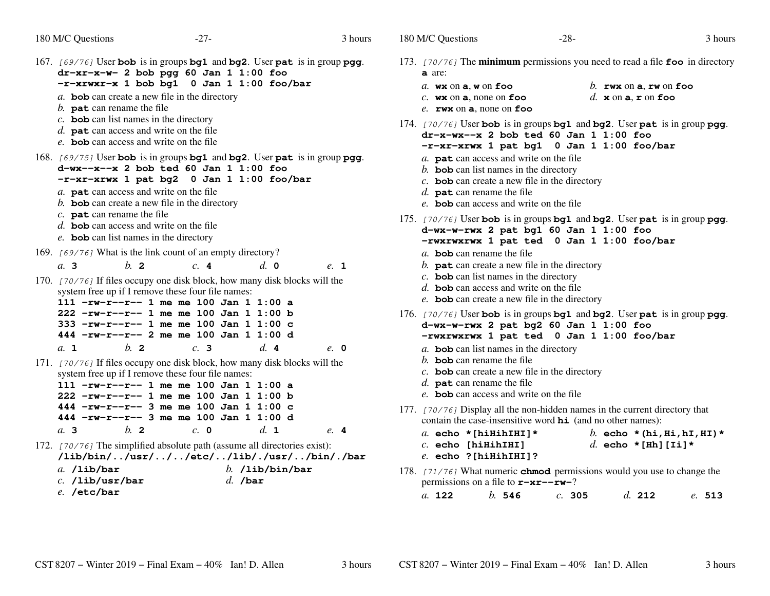- 167. [69/76] User **bob** is in groups **bg1** and **bg2**. User **pat** is in group **pgg**. **dr-xr-x-w- 2 bob pgg 60 Jan 1 1:00 foo -r-xrwxr-x 1 bob bg1 <sup>0</sup> Jan 1 1:00 foo/bar** *a.* **bob** can create a new file in the directory *b.* **pat** can rename the file *c.* **bob** can list names in the directory *d.* **pat** can access and write on the file *e.* **bob** can access and write on the file 168. [69/75] User **bob** is in groups **bg1** and **bg2**. User **pat** is in group **pgg**. **d-wx--x--x 2 bob ted 60 Jan 1 1:00 foo -r-xr-xrwx 1 pat bg2 <sup>0</sup> Jan 1 1:00 foo/bar** *a.* **pat** can access and write on the file *b.* **bob** can create a new file in the directory *c.* **pat** can rename the file *d.* **bob** can access and write on the file *e.* **bob** can list names in the directory 169. [69/76] What is the link count of an empty directory? *a.* **3** *b.* **<sup>2</sup>** *c.* **<sup>4</sup>** *d.* **<sup>0</sup>** *e.* **<sup>1</sup>** 170. [70/76] If files occupy one disk block, how many disk blocks will the system free up if I remove these four file names: **111 -rw-r--r-- 1 me me 100 Jan 1 1:00 a 222 -rw-r--r-- 1 me me 100 Jan 1 1:00 b 333 -rw-r--r-- 1 me me 100 Jan 1 1:00 c 444 -rw-r--r-- 2 me me 100 Jan 1 1:00 d***a.* **<sup>1</sup>** *b.* **<sup>2</sup>** *c.* **<sup>3</sup>** *d.* **<sup>4</sup>** *e.* **<sup>0</sup>** 171. [70/76] If files occupy one disk block, how many disk blocks will the system free up if I remove these four file names: **111 -rw-r--r-- 1 me me 100 Jan 1 1:00 a 222 -rw-r--r-- 1 me me 100 Jan 1 1:00 b 444 -rw-r--r-- 3 me me 100 Jan 1 1:00 c 444 -rw-r--r-- 3 me me 100 Jan 1 1:00 d***a.* **3** *b.* **<sup>2</sup>** *c.* **<sup>0</sup>** *d.* **<sup>1</sup>** *e.* **<sup>4</sup>** 172. [70/76] The simplified absolute path (assume all directories exist): **/lib/bin/../usr/../../etc/../lib/./usr/../bin/./bar***a.* **/lib/bar** *b.* **/lib/bin/bar** *c.* **/lib/usr/bar** *d.* **/bar** *e.* **/etc/bar**
- 173. [70/76] The **minimum** permissions you need to read a file **foo** in directory **a** are: *a.* **wx** on **<sup>a</sup>**, **<sup>w</sup>** on **foo** *b.* **rwx** on **<sup>a</sup>**, **rw** on **foo** *c.* **wx** $d.$  **x** on **a**, **r** on **foo** *e.* **rwx** on **<sup>a</sup>**, none on **foo** 174. [70/76] User **bob** is in groups **bg1** and **bg2**. User **pat** is in group **pgg**. **dr-x-wx--x 2 bob ted 60 Jan 1 1:00 foo -r-xr-xrwx 1 pat bg1 <sup>0</sup> Jan 1 1:00 foo/bar** *a.* **pat** can access and write on the file *b.* **bob** can list names in the directory *c.* **bob** can create a new file in the directory *d.* **pat** can rename the file *e.* **bob** can access and write on the file 175. [70/76] User **bob** is in groups **bg1** and **bg2**. User **pat** is in group **pgg**. **d-wx-w-rwx 2 pat bg1 60 Jan 1 1:00 foo -rwxrwxrwx 1 pat ted <sup>0</sup> Jan 1 1:00 foo/bar** *a.* **bob** can rename the file *b.* **pat** can create a new file in the directory *c.* **bob** can list names in the directory *d.* **bob** can access and write on the file *e.* **bob** can create a new file in the directory 176. [70/76] User **bob** is in groups **bg1** and **bg2**. User **pat** is in group **pgg**. **d-wx-w-rwx 2 pat bg2 60 Jan 1 1:00 foo -rwxrwxrwx 1 pat ted <sup>0</sup> Jan 1 1:00 foo/bar** *a.* **bob** can list names in the directory *b.* **bob** can rename the file *c.* **bob** can create a new file in the directory *d.* **pat** can rename the file *e.* **bob** can access and write on the file 177. [70/76] Display all the non-hidden names in the current directory that contain the case-insensitive word **hi** (and no other names): *a.* **echo \*[hiHihIHI]\*** *b.* **echo \*(hi,Hi,hI,HI)\*** *c.* **echo [hiHihIHI]** *d.* **echo \*[Hh][Ii]\*** *e.* **echo ?[hiHihIHI]?**178. [71/76] What numeric **chmod** permissions would you use to change the permissions on a file to **r-xr--rw-**? *a.* **<sup>122</sup>***b.* **<sup>546</sup>** *c.* **<sup>305</sup>** *d.* **<sup>212</sup>** *e.* **<sup>513</sup>**